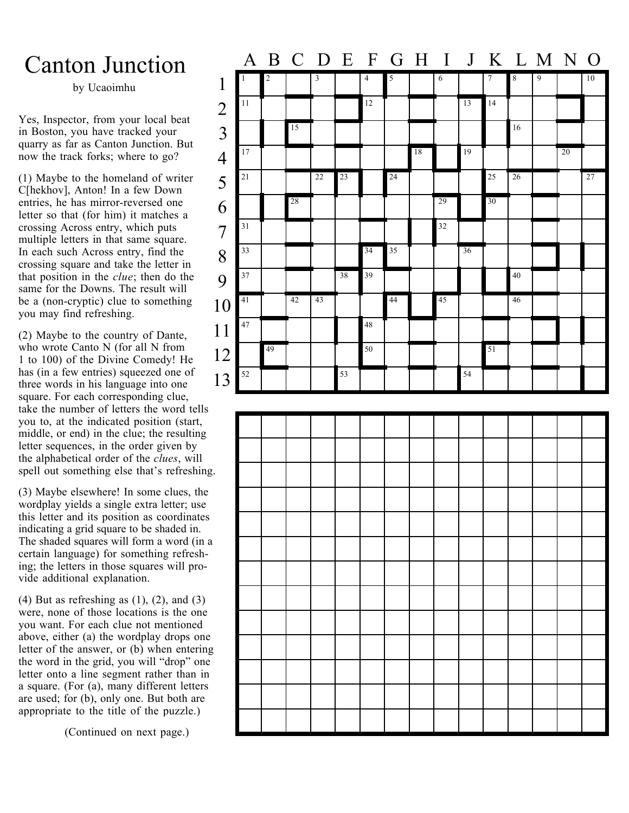## Canton Junction

by Ucaoimhu

Yes, Inspector, from your local beat in Boston, you have tracked your quarry as far as Canton Junction. But now the track forks; where to go?

(1) Maybe to the homeland of writer C[hekhov], Anton! In a few Down entries, he has mirror-reversed one letter so that (for him) it matches a crossing Across entry, which puts multiple letters in that same square. In each such Across entry, find the crossing square and take the letter in that position in the *clue*; then do the same for the Downs. The result will be a (non-cryptic) clue to something you may find refreshing.

(2) Maybe to the country of Dante, who wrote Canto N (for all N from 1 to 100) of the Divine Comedy! He has (in a few entries) squeezed one of three words in his language into one square. For each corresponding clue, take the number of letters the word tells you to, at the indicated position (start, middle, or end) in the clue; the resulting letter sequences, in the order given by the alphabetical order of the *clues*, will spell out something else that's refreshing.

(3) Maybe elsewhere! In some clues, the wordplay yields a single extra letter; use this letter and its position as coordinates indicating a grid square to be shaded in. The shaded squares will form a word (in a certain language) for something refreshing; the letters in those squares will provide additional explanation.

(4) But as refreshing as  $(1)$ ,  $(2)$ , and  $(3)$ were, none of those locations is the one you want. For each clue not mentioned above, either (a) the wordplay drops one letter of the answer, or (b) when entering the word in the grid, you will "drop" one letter onto a line segment rather than in a square. (For (a), many different letters are used; for (b), only one. But both are appropriate to the title of the puzzle.)

(Continued on next page.)

|                                       |              |                |                 |                |    |                 | A B C D E F G H I J K L M N O |    |                 |    |                |                  |   |    |    |
|---------------------------------------|--------------|----------------|-----------------|----------------|----|-----------------|-------------------------------|----|-----------------|----|----------------|------------------|---|----|----|
| $\mathbf{1}$                          | $\mathbf{1}$ | $\overline{2}$ |                 | $\overline{3}$ |    | $\overline{4}$  | $\overline{5}$                |    | $\sqrt{6}$      |    | $\overline{7}$ | $\boldsymbol{8}$ | 9 |    | 10 |
|                                       | 11           |                |                 |                |    | 12              |                               |    |                 | 13 | 14             |                  |   |    |    |
| $\begin{array}{c} 2 \\ 3 \end{array}$ |              |                | $\overline{15}$ |                |    |                 |                               |    |                 |    |                | 16               |   |    |    |
| $\overline{4}$                        | 17           |                |                 |                |    |                 |                               | 18 |                 | 19 |                |                  |   | 20 |    |
| 5                                     | 21           |                |                 | 22             | 23 |                 | 24                            |    |                 |    | 25             | 26               |   |    | 27 |
| 6                                     |              |                | 28              |                |    |                 |                               |    | 29              |    | 30             |                  |   |    |    |
| $\overline{7}$                        | 31           |                |                 |                |    |                 |                               |    | 32              |    |                |                  |   |    |    |
| 8                                     | 33           |                |                 |                |    | $\overline{34}$ | 35                            |    |                 | 36 |                |                  |   |    |    |
| 9                                     | 37           |                |                 |                | 38 | 39              |                               |    |                 |    |                | 40               |   |    |    |
| 10                                    | 41           |                | 42              | 43             |    |                 | 44                            |    | $\overline{45}$ |    |                | 46               |   |    |    |
| 11                                    | 47           |                |                 |                |    | 48              |                               |    |                 |    |                |                  |   |    |    |
| 12                                    |              | 49             |                 |                |    | 50              |                               |    |                 |    | 51             |                  |   |    |    |
| 13                                    | 52           |                |                 |                | 53 |                 |                               |    |                 | 54 |                |                  |   |    |    |
|                                       |              |                |                 |                |    |                 |                               |    |                 |    |                |                  |   |    |    |
|                                       |              |                |                 |                |    |                 |                               |    |                 |    |                |                  |   |    |    |
|                                       |              |                |                 |                |    |                 |                               |    |                 |    |                |                  |   |    |    |
| $\bullet$                             |              |                |                 |                |    |                 |                               |    |                 |    |                |                  |   |    |    |
|                                       |              |                |                 |                |    |                 |                               |    |                 |    |                |                  |   |    |    |
|                                       |              |                |                 |                |    |                 |                               |    |                 |    |                |                  |   |    |    |
|                                       |              |                |                 |                |    |                 |                               |    |                 |    |                |                  |   |    |    |
|                                       |              |                |                 |                |    |                 |                               |    |                 |    |                |                  |   |    |    |